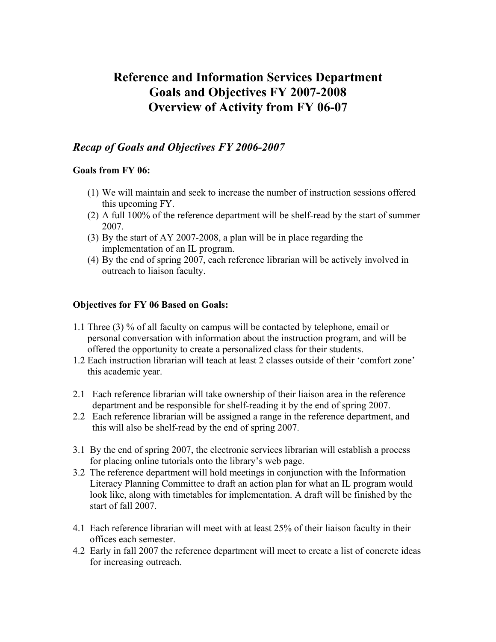# **Reference and Information Services Department Goals and Objectives FY 2007-2008 Overview of Activity from FY 06-07**

### *Recap of Goals and Objectives FY 2006-2007*

#### **Goals from FY 06:**

- (1) We will maintain and seek to increase the number of instruction sessions offered this upcoming FY.
- (2) A full 100% of the reference department will be shelf-read by the start of summer 2007.
- (3) By the start of AY 2007-2008, a plan will be in place regarding the implementation of an IL program.
- (4) By the end of spring 2007, each reference librarian will be actively involved in outreach to liaison faculty.

#### **Objectives for FY 06 Based on Goals:**

- 1.1 Three (3) % of all faculty on campus will be contacted by telephone, email or personal conversation with information about the instruction program, and will be offered the opportunity to create a personalized class for their students.
- 1.2 Each instruction librarian will teach at least 2 classes outside of their 'comfort zone' this academic year.
- 2.1 Each reference librarian will take ownership of their liaison area in the reference department and be responsible for shelf-reading it by the end of spring 2007.
- 2.2 Each reference librarian will be assigned a range in the reference department, and this will also be shelf-read by the end of spring 2007.
- 3.1 By the end of spring 2007, the electronic services librarian will establish a process for placing online tutorials onto the library's web page.
- 3.2 The reference department will hold meetings in conjunction with the Information Literacy Planning Committee to draft an action plan for what an IL program would look like, along with timetables for implementation. A draft will be finished by the start of fall 2007.
- 4.1 Each reference librarian will meet with at least 25% of their liaison faculty in their offices each semester.
- 4.2 Early in fall 2007 the reference department will meet to create a list of concrete ideas for increasing outreach.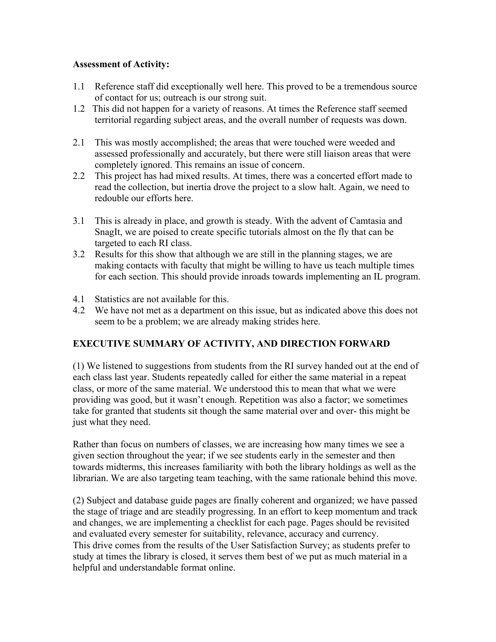### **Assessment of Activity:**

- 1.1 Reference staff did exceptionally well here. This proved to be a tremendous source of contact for us; outreach is our strong suit.
- 1.2 This did not happen for a variety of reasons. At times the Reference staff seemed territorial regarding subject areas, and the overall number of requests was down.
- 2.1 This was mostly accomplished; the areas that were touched were weeded and assessed professionally and accurately, but there were still liaison areas that were completely ignored. This remains an issue of concern.
- 2.2 This project has had mixed results. At times, there was a concerted effort made to read the collection, but inertia drove the project to a slow halt. Again, we need to redouble our efforts here.
- 3.1 This is already in place, and growth is steady. With the advent of Camtasia and SnagIt, we are poised to create specific tutorials almost on the fly that can be targeted to each RI class.
- 3.2 Results for this show that although we are still in the planning stages, we are making contacts with faculty that might be willing to have us teach multiple times for each section. This should provide inroads towards implementing an IL program.
- 4.1 Statistics are not available for this.
- 4.2 We have not met as a department on this issue, but as indicated above this does not seem to be a problem; we are already making strides here.

### **EXECUTIVE SUMMARY OF ACTIVITY, AND DIRECTION FORWARD**

(1) We listened to suggestions from students from the RI survey handed out at the end of each class last year. Students repeatedly called for either the same material in a repeat class, or more of the same material. We understood this to mean that what we were providing was good, but it wasn't enough. Repetition was also a factor; we sometimes take for granted that students sit though the same material over and over- this might be just what they need.

Rather than focus on numbers of classes, we are increasing how many times we see a given section throughout the year; if we see students early in the semester and then towards midterms, this increases familiarity with both the library holdings as well as the librarian. We are also targeting team teaching, with the same rationale behind this move.

(2) Subject and database guide pages are finally coherent and organized; we have passed the stage of triage and are steadily progressing. In an effort to keep momentum and track and changes, we are implementing a checklist for each page. Pages should be revisited and evaluated every semester for suitability, relevance, accuracy and currency. This drive comes from the results of the User Satisfaction Survey; as students prefer to study at times the library is closed, it serves them best of we put as much material in a helpful and understandable format online.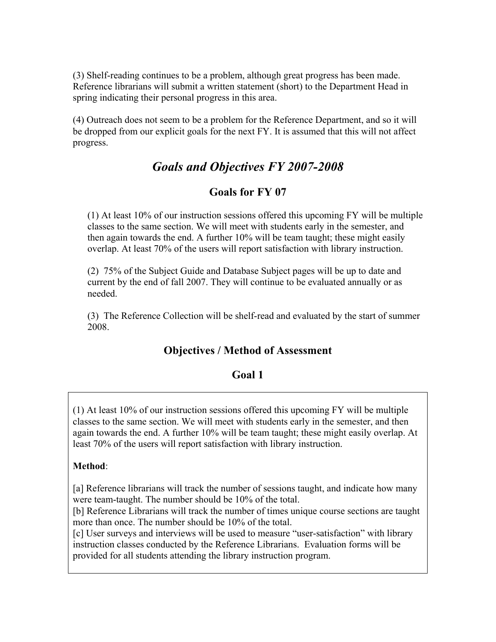(3) Shelf-reading continues to be a problem, although great progress has been made. Reference librarians will submit a written statement (short) to the Department Head in spring indicating their personal progress in this area.

(4) Outreach does not seem to be a problem for the Reference Department, and so it will be dropped from our explicit goals for the next FY. It is assumed that this will not affect progress.

# *Goals and Objectives FY 2007-2008*

## **Goals for FY 07**

(1) At least 10% of our instruction sessions offered this upcoming FY will be multiple classes to the same section. We will meet with students early in the semester, and then again towards the end. A further 10% will be team taught; these might easily overlap. At least 70% of the users will report satisfaction with library instruction.

(2) 75% of the Subject Guide and Database Subject pages will be up to date and current by the end of fall 2007. They will continue to be evaluated annually or as needed.

(3) The Reference Collection will be shelf-read and evaluated by the start of summer 2008.

## **Objectives / Method of Assessment**

### **Goal 1**

(1) At least 10% of our instruction sessions offered this upcoming FY will be multiple classes to the same section. We will meet with students early in the semester, and then again towards the end. A further 10% will be team taught; these might easily overlap. At least 70% of the users will report satisfaction with library instruction.

### **Method**:

[a] Reference librarians will track the number of sessions taught, and indicate how many were team-taught. The number should be 10% of the total.

[b] Reference Librarians will track the number of times unique course sections are taught more than once. The number should be 10% of the total.

[c] User surveys and interviews will be used to measure "user-satisfaction" with library instruction classes conducted by the Reference Librarians. Evaluation forms will be provided for all students attending the library instruction program.